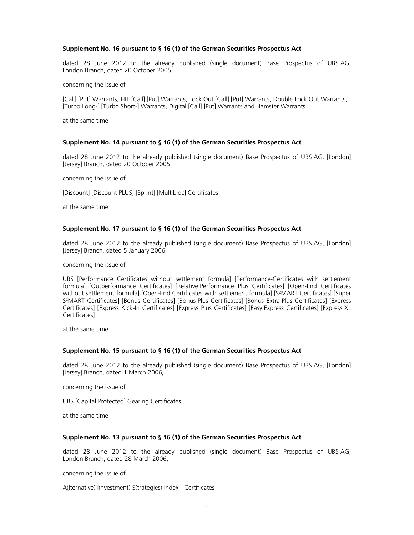#### **Supplement No. 16 pursuant to § 16 (1) of the German Securities Prospectus Act**

dated 28 June 2012 to the already published (single document) Base Prospectus of UBS AG, London Branch, dated 20 October 2005,

concerning the issue of

[Call] [Put] Warrants, HIT [Call] [Put] Warrants, Lock Out [Call] [Put] Warrants, Double Lock Out Warrants, [Turbo Long-] [Turbo Short-] Warrants, Digital [Call] [Put] Warrants and Hamster Warrants

at the same time

#### **Supplement No. 14 pursuant to § 16 (1) of the German Securities Prospectus Act**

dated 28 June 2012 to the already published (single document) Base Prospectus of UBS AG, [London] [Jersey] Branch, dated 20 October 2005,

concerning the issue of

[Discount] [Discount PLUS] [Sprint] [Multibloc] Certificates

at the same time

#### **Supplement No. 17 pursuant to § 16 (1) of the German Securities Prospectus Act**

dated 28 June 2012 to the already published (single document) Base Prospectus of UBS AG, [London] [Jersey] Branch, dated 5 January 2006,

concerning the issue of

UBS [Performance Certificates without settlement formula] [Performance-Certificates with settlement formula] [Outperformance Certificates] [Relative Performance Plus Certificates] [Open-End Certificates without settlement formula] [Open-End Certificates with settlement formula] [S2MART Certificates] [Super S2MART Certificates] [Bonus Certificates] [Bonus Plus Certificates] [Bonus Extra Plus Certificates] [Express Certificates] [Express Kick-In Certificates] [Express Plus Certificates] [Easy Express Certificates] [Express XL Certificates]

at the same time

#### **Supplement No. 15 pursuant to § 16 (1) of the German Securities Prospectus Act**

dated 28 June 2012 to the already published (single document) Base Prospectus of UBS AG, [London] [Jersey] Branch, dated 1 March 2006,

concerning the issue of

UBS [Capital Protected] Gearing Certificates

at the same time

#### **Supplement No. 13 pursuant to § 16 (1) of the German Securities Prospectus Act**

dated 28 June 2012 to the already published (single document) Base Prospectus of UBS AG, London Branch, dated 28 March 2006,

concerning the issue of

A(lternative) I(nvestment) S(trategies) Index - Certificates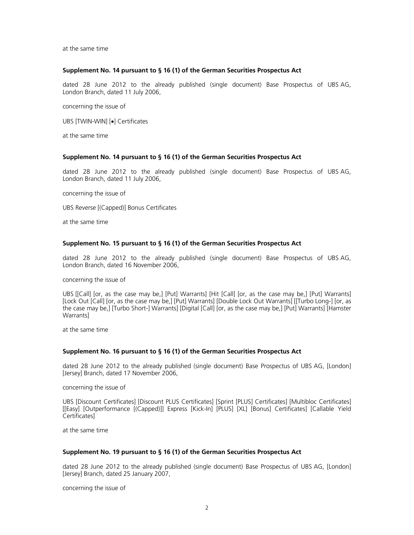at the same time

#### **Supplement No. 14 pursuant to § 16 (1) of the German Securities Prospectus Act**

dated 28 June 2012 to the already published (single document) Base Prospectus of UBS AG, London Branch, dated 11 July 2006,

concerning the issue of

UBS [TWIN-WIN] [•] Certificates

at the same time

#### **Supplement No. 14 pursuant to § 16 (1) of the German Securities Prospectus Act**

dated 28 June 2012 to the already published (single document) Base Prospectus of UBS AG, London Branch, dated 11 July 2006,

concerning the issue of

UBS Reverse [(Capped)] Bonus Certificates

at the same time

### **Supplement No. 15 pursuant to § 16 (1) of the German Securities Prospectus Act**

dated 28 June 2012 to the already published (single document) Base Prospectus of UBS AG, London Branch, dated 16 November 2006,

concerning the issue of

UBS [[Call] [or, as the case may be,] [Put] Warrants] [Hit [Call] [or, as the case may be,] [Put] Warrants] [Lock Out [Call] [or, as the case may be,] [Put] Warrants] [Double Lock Out Warrants] [[Turbo Long-] [or, as the case may be,] [Turbo Short-] Warrants] [Digital [Call] [or, as the case may be,] [Put] Warrants] [Hamster Warrants]

at the same time

#### **Supplement No. 16 pursuant to § 16 (1) of the German Securities Prospectus Act**

dated 28 June 2012 to the already published (single document) Base Prospectus of UBS AG, [London] [Jersey] Branch, dated 17 November 2006,

concerning the issue of

UBS [Discount Certificates] [Discount PLUS Certificates] [Sprint [PLUS] Certificates] [Multibloc Certificates] [[Easy] [Outperformance [(Capped)]] Express [Kick-In] [PLUS] [XL] [Bonus] Certificates] [Callable Yield Certificates]

at the same time

## **Supplement No. 19 pursuant to § 16 (1) of the German Securities Prospectus Act**

dated 28 June 2012 to the already published (single document) Base Prospectus of UBS AG, [London] [Jersey] Branch, dated 25 January 2007,

concerning the issue of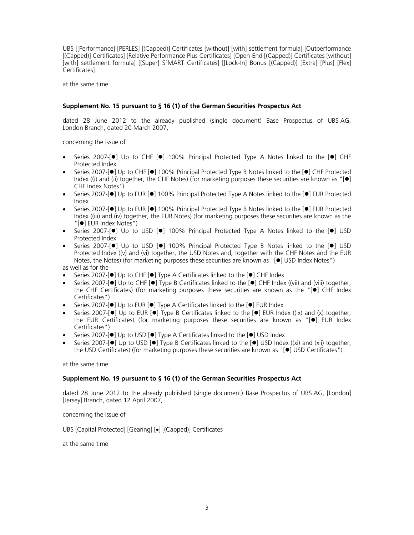UBS [[Performance] [PERLES] [(Capped)] Certificates [without] [with] settlement formula] [Outperformance [(Capped)] Certificates] [Relative Performance Plus Certificates] [Open-End [(Capped)] Certificates [without] [with] settlement formula] [[Super] S<sup>2</sup>MART Certificates] [[Lock-In] Bonus [(Capped)] [Extra] [Plus] [Flex] Certificates]

at the same time

# **Supplement No. 15 pursuant to § 16 (1) of the German Securities Prospectus Act**

dated 28 June 2012 to the already published (single document) Base Prospectus of UBS AG, London Branch, dated 20 March 2007,

concerning the issue of

- Series 2007- $\lceil \bullet \rceil$  Up to CHF  $\lceil \bullet \rceil$  100% Principal Protected Type A Notes linked to the  $\lceil \bullet \rceil$  CHF Protected Index
- Series 2007-[ $\bullet$ ] Up to CHF [ $\bullet$ ] 100% Principal Protected Type B Notes linked to the [ $\bullet$ ] CHF Protected Index ((i) and (ii) together, the CHF Notes) (for marketing purposes these securities are known as " $| \bullet |$ CHF Index Notes")
- Series 2007-[ $\bullet$ ] Up to EUR [ $\bullet$ ] 100% Principal Protected Type A Notes linked to the [ $\bullet$ ] EUR Protected Index
- Series 2007-[ $\bullet$ ] Up to EUR [ $\bullet$ ] 100% Principal Protected Type B Notes linked to the [ $\bullet$ ] EUR Protected Index ((iii) and (iv) together, the EUR Notes) (for marketing purposes these securities are known as the "[ $\bullet$ ] EUR Index Notes")
- $\bullet$  Series 2007-[ $\bullet$ ] Up to USD [ $\bullet$ ] 100% Principal Protected Type A Notes linked to the [ $\bullet$ ] USD Protected Index
- Series 2007- $\lceil \bullet \rceil$  Up to USD  $\lceil \bullet \rceil$  100% Principal Protected Type B Notes linked to the  $\lceil \bullet \rceil$  USD Protected Index ((v) and (vi) together, the USD Notes and, together with the CHF Notes and the EUR Notes, the Notes) (for marketing purposes these securities are known as "[ $\bullet$ ] USD Index Notes") as well as for the
- Series 2007-[<sup>O</sup>] Up to CHF [<sup>O</sup>] Type A Certificates linked to the [<sup>O</sup>] CHF Index
- Series 2007- $\lceil \bullet \rceil$  Up to CHF  $\lceil \bullet \rceil$  Type B Certificates linked to the  $\lceil \bullet \rceil$  CHF Index ((vii) and (viii) together, the CHF Certificates) (for marketing purposes these securities are known as the " $[•]$  CHF Index Certificates")
- Series 2007-[ $\bullet$ ] Up to EUR [ $\bullet$ ] Type A Certificates linked to the  $\bullet$ ] EUR Index
- Series 2007- $\lceil \bullet \rceil$  Up to EUR  $\lceil \bullet \rceil$  Type B Certificates linked to the  $\lceil \bullet \rceil$  EUR Index ((ix) and (x) together, the EUR Certificates) (for marketing purposes these securities are known as " $[•]$  EUR Index Certificates")
- Series 2007-[<sup>o</sup>] Up to USD [<sup>o</sup>] Type A Certificates linked to the [<sup>o</sup>] USD Index
- Series 2007- $\bullet$ ] Up to USD  $\bullet$ ] Type B Certificates linked to the  $\bullet$ ] USD Index ((xi) and (xii) together, the USD Certificates) (for marketing purposes these securities are known as "[ $\bullet$ ] USD Certificates")

at the same time

#### **Supplement No. 19 pursuant to § 16 (1) of the German Securities Prospectus Act**

dated 28 June 2012 to the already published (single document) Base Prospectus of UBS AG, [London] [Jersey] Branch, dated 12 April 2007,

concerning the issue of

UBS [Capital Protected] [Gearing] [•] [(Capped)] Certificates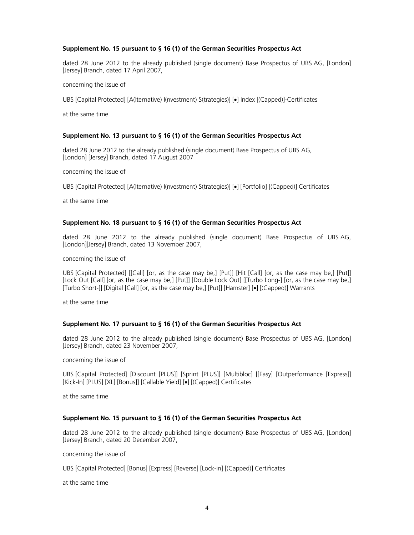## **Supplement No. 15 pursuant to § 16 (1) of the German Securities Prospectus Act**

dated 28 June 2012 to the already published (single document) Base Prospectus of UBS AG, [London] [Jersey] Branch, dated 17 April 2007,

concerning the issue of

UBS [Capital Protected] [A(Iternative) I(nvestment) S(trategies)] [•] Index [(Capped)]-Certificates

at the same time

#### **Supplement No. 13 pursuant to § 16 (1) of the German Securities Prospectus Act**

dated 28 June 2012 to the already published (single document) Base Prospectus of UBS AG, [London] [Jersey] Branch, dated 17 August 2007

concerning the issue of

UBS [Capital Protected] [A(Iternative) I(nvestment) S(trategies)] [•] [Portfolio] [(Capped)] Certificates

at the same time

#### **Supplement No. 18 pursuant to § 16 (1) of the German Securities Prospectus Act**

dated 28 June 2012 to the already published (single document) Base Prospectus of UBS AG, [London][Jersey] Branch, dated 13 November 2007,

concerning the issue of

UBS [Capital Protected] [[Call] [or, as the case may be,] [Put]] [Hit [Call] [or, as the case may be,] [Put]] [Lock Out [Call] [or, as the case may be,] [Put]] [Double Lock Out] [[Turbo Long-] [or, as the case may be,] [Turbo Short-]] [Digital [Call] [or, as the case may be,] [Put]] [Hamster] [•] [(Capped)] Warrants

at the same time

#### **Supplement No. 17 pursuant to § 16 (1) of the German Securities Prospectus Act**

dated 28 June 2012 to the already published (single document) Base Prospectus of UBS AG, [London] [Jersey] Branch, dated 23 November 2007,

concerning the issue of

UBS [Capital Protected] [Discount [PLUS]] [Sprint [PLUS]] [Multibloc] [[Easy] [Outperformance [Express]] [Kick-In] [PLUS] [XL] [Bonus]] [Callable Yield] [•] [(Capped)] Certificates

at the same time

#### **Supplement No. 15 pursuant to § 16 (1) of the German Securities Prospectus Act**

dated 28 June 2012 to the already published (single document) Base Prospectus of UBS AG, [London] [Jersey] Branch, dated 20 December 2007,

concerning the issue of

UBS [Capital Protected] [Bonus] [Express] [Reverse] [Lock-in] [(Capped)] Certificates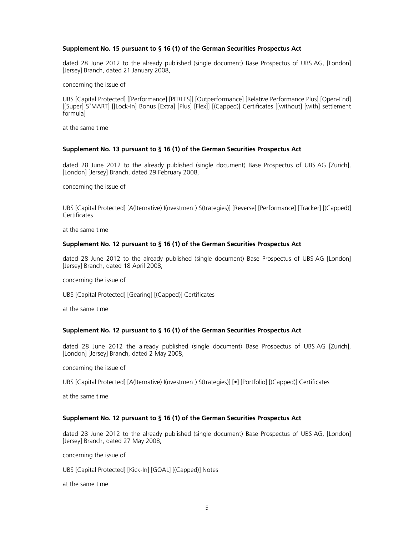#### **Supplement No. 15 pursuant to § 16 (1) of the German Securities Prospectus Act**

dated 28 June 2012 to the already published (single document) Base Prospectus of UBS AG, [London] [Jersey] Branch, dated 21 January 2008,

concerning the issue of

UBS [Capital Protected] [[Performance] [PERLES]] [Outperformance] [Relative Performance Plus] [Open-End] [[Super] S2MART] [[Lock-In] Bonus [Extra] [Plus] [Flex]] [(Capped)] Certificates [[without] [with] settlement formula]

at the same time

#### **Supplement No. 13 pursuant to § 16 (1) of the German Securities Prospectus Act**

dated 28 June 2012 to the already published (single document) Base Prospectus of UBS AG [Zurich], [London] [Jersey] Branch, dated 29 February 2008,

concerning the issue of

UBS [Capital Protected] [A(lternative) I(nvestment) S(trategies)] [Reverse] [Performance] [Tracker] [(Capped)] **Certificates** 

at the same time

#### **Supplement No. 12 pursuant to § 16 (1) of the German Securities Prospectus Act**

dated 28 June 2012 to the already published (single document) Base Prospectus of UBS AG [London] [Jersey] Branch, dated 18 April 2008,

concerning the issue of

UBS [Capital Protected] [Gearing] [(Capped)] Certificates

at the same time

# **Supplement No. 12 pursuant to § 16 (1) of the German Securities Prospectus Act**

dated 28 June 2012 the already published (single document) Base Prospectus of UBS AG [Zurich], [London] [Jersey] Branch, dated 2 May 2008,

concerning the issue of

UBS [Capital Protected] [A(lternative) I(nvestment) S(trategies)] [•] [Portfolio] [(Capped)] Certificates

at the same time

#### **Supplement No. 12 pursuant to § 16 (1) of the German Securities Prospectus Act**

dated 28 June 2012 to the already published (single document) Base Prospectus of UBS AG, [London] [Jersey] Branch, dated 27 May 2008,

concerning the issue of

UBS [Capital Protected] [Kick-In] [GOAL] [(Capped)] Notes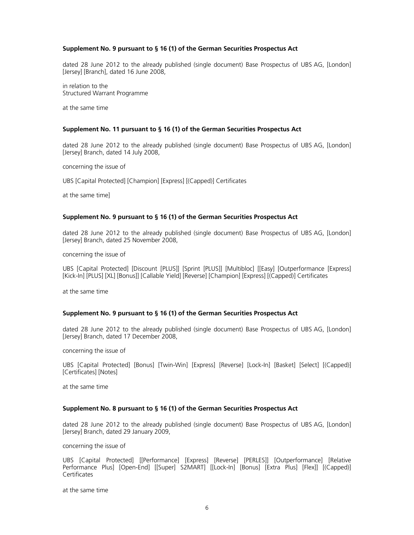## **Supplement No. 9 pursuant to § 16 (1) of the German Securities Prospectus Act**

dated 28 June 2012 to the already published (single document) Base Prospectus of UBS AG, [London] [Jersey] [Branch], dated 16 June 2008,

in relation to the Structured Warrant Programme

at the same time

## **Supplement No. 11 pursuant to § 16 (1) of the German Securities Prospectus Act**

dated 28 June 2012 to the already published (single document) Base Prospectus of UBS AG, [London] [Jersey] Branch, dated 14 July 2008,

concerning the issue of

UBS [Capital Protected] [Champion] [Express] [(Capped)] Certificates

at the same time]

#### **Supplement No. 9 pursuant to § 16 (1) of the German Securities Prospectus Act**

dated 28 June 2012 to the already published (single document) Base Prospectus of UBS AG, [London] [Jersey] Branch, dated 25 November 2008,

concerning the issue of

UBS [Capital Protected] [Discount [PLUS]] [Sprint [PLUS]] [Multibloc] [[Easy] [Outperformance [Express] [Kick-In] [PLUS] [XL] [Bonus]] [Callable Yield] [Reverse] [Champion] [Express] [(Capped)] Certificates

at the same time

#### **Supplement No. 9 pursuant to § 16 (1) of the German Securities Prospectus Act**

dated 28 June 2012 to the already published (single document) Base Prospectus of UBS AG, [London] [Jersey] Branch, dated 17 December 2008,

concerning the issue of

UBS [Capital Protected] [Bonus] [Twin-Win] [Express] [Reverse] [Lock-In] [Basket] [Select] [(Capped)] [Certificates] [Notes]

at the same time

## **Supplement No. 8 pursuant to § 16 (1) of the German Securities Prospectus Act**

dated 28 June 2012 to the already published (single document) Base Prospectus of UBS AG, [London] [Jersey] Branch, dated 29 January 2009,

concerning the issue of

UBS [Capital Protected] [[Performance] [Express] [Reverse] [PERLES]] [Outperformance] [Relative Performance Plus] [Open-End] [[Super] S2MART] [[Lock-In] [Bonus] [Extra Plus] [Flex]] [(Capped)] Certificates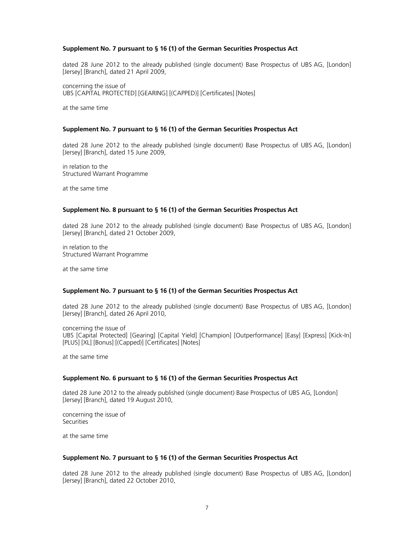## **Supplement No. 7 pursuant to § 16 (1) of the German Securities Prospectus Act**

dated 28 June 2012 to the already published (single document) Base Prospectus of UBS AG, [London] [Jersey] [Branch], dated 21 April 2009,

concerning the issue of UBS [CAPITAL PROTECTED] [GEARING] [(CAPPED)] [Certificates] [Notes]

at the same time

#### **Supplement No. 7 pursuant to § 16 (1) of the German Securities Prospectus Act**

dated 28 June 2012 to the already published (single document) Base Prospectus of UBS AG, [London] [Jersey] [Branch], dated 15 June 2009,

in relation to the Structured Warrant Programme

at the same time

# **Supplement No. 8 pursuant to § 16 (1) of the German Securities Prospectus Act**

dated 28 June 2012 to the already published (single document) Base Prospectus of UBS AG, [London] [Jersey] [Branch], dated 21 October 2009,

in relation to the Structured Warrant Programme

at the same time

#### **Supplement No. 7 pursuant to § 16 (1) of the German Securities Prospectus Act**

dated 28 June 2012 to the already published (single document) Base Prospectus of UBS AG, [London] [Jersey] [Branch], dated 26 April 2010,

concerning the issue of UBS [Capital Protected] [Gearing] [Capital Yield] [Champion] [Outperformance] [Easy] [Express] [Kick-In] [PLUS] [XL] [Bonus] [(Capped)] [Certificates] [Notes]

at the same time

#### **Supplement No. 6 pursuant to § 16 (1) of the German Securities Prospectus Act**

dated 28 June 2012 to the already published (single document) Base Prospectus of UBS AG, [London] [Jersey] [Branch], dated 19 August 2010,

concerning the issue of **Securities** 

at the same time

#### **Supplement No. 7 pursuant to § 16 (1) of the German Securities Prospectus Act**

dated 28 June 2012 to the already published (single document) Base Prospectus of UBS AG, [London] [Jersey] [Branch], dated 22 October 2010,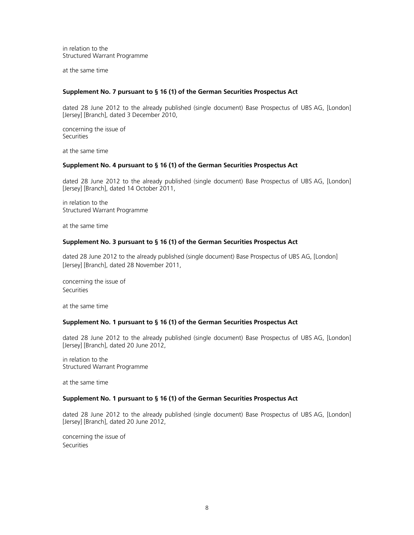in relation to the Structured Warrant Programme

at the same time

## **Supplement No. 7 pursuant to § 16 (1) of the German Securities Prospectus Act**

dated 28 June 2012 to the already published (single document) Base Prospectus of UBS AG, [London] [Jersey] [Branch], dated 3 December 2010,

concerning the issue of **Securities** 

at the same time

# **Supplement No. 4 pursuant to § 16 (1) of the German Securities Prospectus Act**

dated 28 June 2012 to the already published (single document) Base Prospectus of UBS AG, [London] [Jersey] [Branch], dated 14 October 2011,

in relation to the Structured Warrant Programme

at the same time

#### **Supplement No. 3 pursuant to § 16 (1) of the German Securities Prospectus Act**

dated 28 June 2012 to the already published (single document) Base Prospectus of UBS AG, [London] [Jersey] [Branch], dated 28 November 2011,

concerning the issue of Securities

at the same time

#### **Supplement No. 1 pursuant to § 16 (1) of the German Securities Prospectus Act**

dated 28 June 2012 to the already published (single document) Base Prospectus of UBS AG, [London] [Jersey] [Branch], dated 20 June 2012,

in relation to the Structured Warrant Programme

at the same time

### **Supplement No. 1 pursuant to § 16 (1) of the German Securities Prospectus Act**

dated 28 June 2012 to the already published (single document) Base Prospectus of UBS AG, [London] [Jersey] [Branch], dated 20 June 2012,

concerning the issue of **Securities**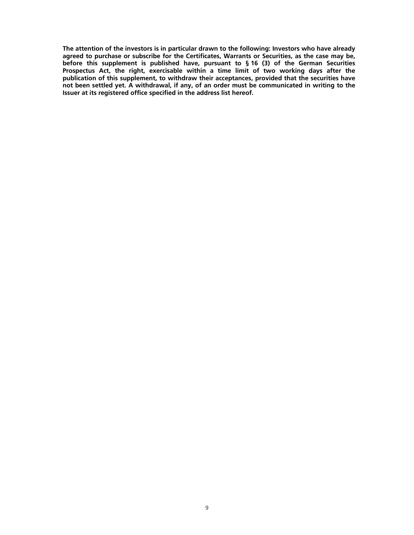**The attention of the investors is in particular drawn to the following: Investors who have already agreed to purchase or subscribe for the Certificates, Warrants or Securities, as the case may be, before this supplement is published have, pursuant to § 16 (3) of the German Securities Prospectus Act, the right, exercisable within a time limit of two working days after the publication of this supplement, to withdraw their acceptances, provided that the securities have not been settled yet. A withdrawal, if any, of an order must be communicated in writing to the Issuer at its registered office specified in the address list hereof.**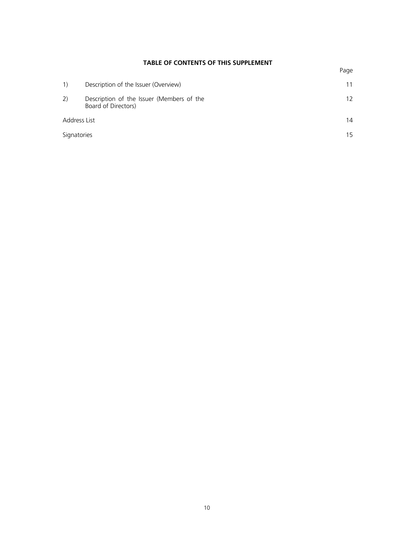# **TABLE OF CONTENTS OF THIS SUPPLEMENT**

|              | Description of the Issuer (Overview)                             |    |  |
|--------------|------------------------------------------------------------------|----|--|
| 2)           | Description of the Issuer (Members of the<br>Board of Directors) | 12 |  |
| Address List |                                                                  | 14 |  |
| Signatories  |                                                                  | 15 |  |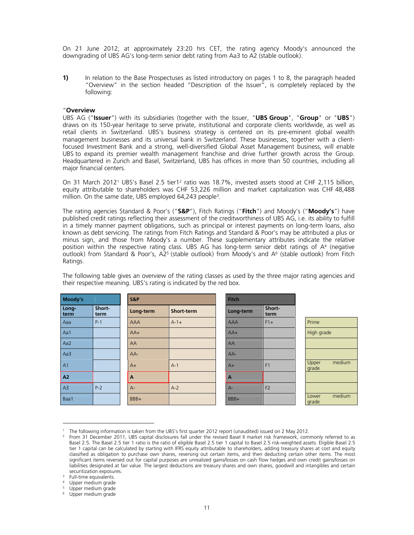On 21 June 2012, at approximately 23:20 hrs CET, the rating agency Moody's announced the downgrading of UBS AG's long-term senior debt rating from Aa3 to A2 (stable outlook).

**1)** In relation to the Base Prospectuses as listed introductory on pages 1 to 8, the paragraph headed "Overview" in the section headed "Description of the Issuer", is completely replaced by the following:

#### "**Overview**

UBS AG ("**Issuer**") with its subsidiaries (together with the Issuer, "**UBS Group**", "**Group**" or "**UBS**") draws on its 150-year heritage to serve private, institutional and corporate clients worldwide, as well as retail clients in Switzerland. UBS's business strategy is centered on its pre-eminent global wealth management businesses and its universal bank in Switzerland. These businesses, together with a clientfocused Investment Bank and a strong, well-diversified Global Asset Management business, will enable UBS to expand its premier wealth management franchise and drive further growth across the Group. Headquartered in Zurich and Basel, Switzerland, UBS has offices in more than 50 countries, including all major financial centers.

On 31 March 20121 UBS's Basel 2.5 tier12 ratio was 18.7%, invested assets stood at CHF 2,115 billion, equity attributable to shareholders was CHF 53,226 million and market capitalization was CHF 48,488 million. On the same date, UBS employed 64,243 people<sup>3</sup>.

The rating agencies Standard & Poor's ("**S&P**"), Fitch Ratings ("**Fitch**") and Moody's ("**Moody's**") have published credit ratings reflecting their assessment of the creditworthiness of UBS AG, i.e. its ability to fulfill in a timely manner payment obligations, such as principal or interest payments on long-term loans, also known as debt servicing. The ratings from Fitch Ratings and Standard & Poor's may be attributed a plus or minus sign, and those from Moody's a number. These supplementary attributes indicate the relative position within the respective rating class. UBS AG has long-term senior debt ratings of A4 (negative outlook) from Standard & Poor's, A25 (stable outlook) from Moody's and A6 (stable outlook) from Fitch Ratings.

The following table gives an overview of the rating classes as used by the three major rating agencies and their respective meaning. UBS's rating is indicated by the red box.

| Moody's        |                | S&P       |            | <b>Fitch</b>   |                |                          |
|----------------|----------------|-----------|------------|----------------|----------------|--------------------------|
| Long-<br>term  | Short-<br>term | Long-term | Short-term | Long-term      | Short-<br>term |                          |
| Aaa            | $P-1$          | AAA       | $A - 1 +$  | <b>AAA</b>     | $F1+$          | Prime                    |
| Aa1            |                | $AA+$     |            | $AA+$          |                | High grade               |
| Aa2            |                | AA        |            | AA             |                |                          |
| Aa3            |                | $AA-$     |            | AA-            |                |                          |
| A <sub>1</sub> |                | $A+$      | $A-1$      | $A+$           | F <sub>1</sub> | medium<br>Upper<br>grade |
| A <sub>2</sub> |                | A         |            | $\overline{A}$ |                |                          |
| A3             | $P-2$          | $A -$     | $A-2$      | $A -$          | F <sub>2</sub> |                          |
| Baa1           |                | BBB+      |            | BBB+           |                | medium<br>Lower<br>grade |

<sup>1</sup> The following information is taken from the UBS's first quarter 2012 report (unaudited) issued on 2 May 2012.

 $\overline{a}$ 

<sup>&</sup>lt;sup>2</sup> From 31 December 2011, UBS capital disclosures fall under the revised Basel II market risk framework, commonly referred to as Basel 2.5. The Basel 2.5 tier 1 ratio is the ratio of eligible Basel 2.5 tier 1 capital to Basel 2.5 risk-weighted assets. Eligible Basel 2.5 tier 1 capital can be calculated by starting with IFRS equity attributable to shareholders, adding treasury shares at cost and equity classified as obligation to purchase own shares, reversing out certain items, and then deducting certain other items. The most significant items reversed out for capital purposes are unrealized gains/losses on cash flow hedges and own credit gains/losses on liabilities designated at fair value. The largest deductions are treasury shares and own shares, goodwill and intangibles and certain<br>securitization exposures.

<sup>&</sup>lt;sup>3</sup> Full-time equivalents.

<sup>4</sup> Upper medium grade

<sup>&</sup>lt;sup>5</sup> Upper medium grade

<sup>&</sup>lt;sup>6</sup> Upper medium grade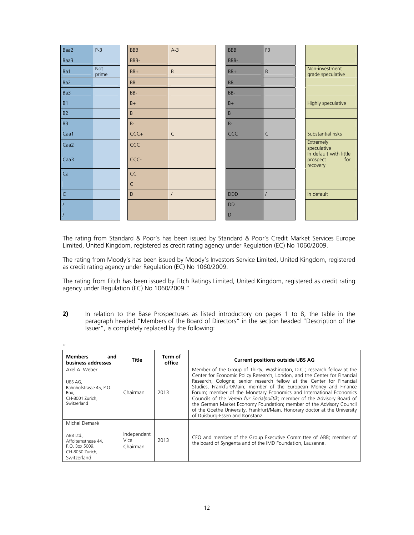| Baa2             | $P-3$               | <b>BBB</b>   | $A-3$        | <b>BBB</b> |     | F <sub>3</sub> |                                                       |
|------------------|---------------------|--------------|--------------|------------|-----|----------------|-------------------------------------------------------|
| Baa3             |                     | BBB-         |              | BBB-       |     |                |                                                       |
| Ba1              | <b>Not</b><br>prime | BB+          | $\sf B$      | BB+        |     | $\mathsf B$    | Non-investment<br>grade speculative                   |
| Ba2              |                     | <b>BB</b>    |              | <b>BB</b>  |     |                |                                                       |
| Ba3              |                     | BB-          |              | BB-        |     |                |                                                       |
| <b>B1</b>        |                     | $B+$         |              | $B+$       |     |                | Highly speculative                                    |
| <b>B2</b>        |                     | B            |              | B          |     |                |                                                       |
| B <sub>3</sub>   |                     | $B -$        |              | $B -$      |     |                |                                                       |
| Caa1             |                     | $CCC +$      | $\mathsf{C}$ |            | CCC | $\mathsf{C}$   | Substantial risks                                     |
| Caa2             |                     | CCC          |              |            |     |                | <b>Extremely</b><br>speculative                       |
| Caa <sub>3</sub> |                     | CCC-         |              |            |     |                | In default with little<br>for<br>prospect<br>recovery |
| Ca               |                     | <b>CC</b>    |              |            |     |                |                                                       |
|                  |                     | $\mathsf{C}$ |              |            |     |                |                                                       |
| $\mathsf{C}$     |                     | D            | $\prime$     | <b>DDD</b> |     | $\prime$       | In default                                            |
| $\overline{I}$   |                     |              |              | <b>DD</b>  |     |                |                                                       |
| $\prime$         |                     |              |              | D          |     |                |                                                       |

The rating from Standard & Poor's has been issued by Standard & Poor's Credit Market Services Europe Limited, United Kingdom, registered as credit rating agency under Regulation (EC) No 1060/2009.

The rating from Moody's has been issued by Moody's Investors Service Limited, United Kingdom, registered as credit rating agency under Regulation (EC) No 1060/2009.

The rating from Fitch has been issued by Fitch Ratings Limited, United Kingdom, registered as credit rating agency under Regulation (EC) No 1060/2009."

**2)** In relation to the Base Prospectuses as listed introductory on pages 1 to 8, the table in the paragraph headed "Members of the Board of Directors" in the section headed "Description of the Issuer", is completely replaced by the following:

| $^{\prime\prime}$                                                                                      |                                 |                   |                                                                                                                                                                                                                                                                                                                                                                                                                                                                                                                                                                                                                                                  |
|--------------------------------------------------------------------------------------------------------|---------------------------------|-------------------|--------------------------------------------------------------------------------------------------------------------------------------------------------------------------------------------------------------------------------------------------------------------------------------------------------------------------------------------------------------------------------------------------------------------------------------------------------------------------------------------------------------------------------------------------------------------------------------------------------------------------------------------------|
| <b>Members</b><br>and<br>business addresses                                                            | Title                           | Term of<br>office | <b>Current positions outside UBS AG</b>                                                                                                                                                                                                                                                                                                                                                                                                                                                                                                                                                                                                          |
| Axel A. Weber<br>UBS AG,<br>Bahnhofstrasse 45, P.O.<br>Box.<br>CH-8001 Zurich,<br>Switzerland          | Chairman                        | 2013              | Member of the Group of Thirty, Washington, D.C.; research fellow at the<br>Center for Economic Policy Research, London, and the Center for Financial<br>Research, Cologne: senior research fellow at the Center for Financial<br>Studies, Frankfurt/Main; member of the European Money and Finance<br>Forum; member of the Monetary Economics and International Economics<br>Councils of the Verein für Socialpolitik; member of the Advisory Board of<br>the German Market Economy Foundation; member of the Advisory Council<br>of the Goethe University, Frankfurt/Main. Honorary doctor at the University<br>of Duisburg-Essen and Konstanz. |
| Michel Demaré<br>ABB Ltd.,<br>Affolternstrasse 44,<br>P.O. Box 5009,<br>CH-8050 Zurich,<br>Switzerland | Independent<br>Vice<br>Chairman | 2013              | CFO and member of the Group Executive Committee of ABB; member of<br>the board of Syngenta and of the IMD Foundation, Lausanne.                                                                                                                                                                                                                                                                                                                                                                                                                                                                                                                  |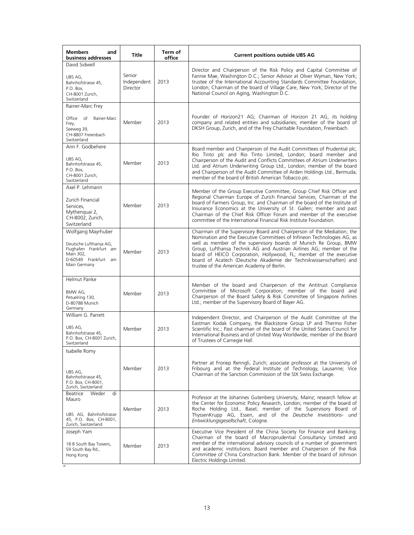| <b>Members</b><br>and<br>business addresses                                                                                 | <b>Title</b>                      | Term of<br>office | <b>Current positions outside UBS AG</b>                                                                                                                                                                                                                                                                                                                                                                                                                                                 |
|-----------------------------------------------------------------------------------------------------------------------------|-----------------------------------|-------------------|-----------------------------------------------------------------------------------------------------------------------------------------------------------------------------------------------------------------------------------------------------------------------------------------------------------------------------------------------------------------------------------------------------------------------------------------------------------------------------------------|
| David Sidwell<br>UBS AG,<br>Bahnhofstrasse 45,<br>P.O. Box.<br>CH-8001 Zurich,<br>Switzerland                               | Senior<br>Independent<br>Director | 2013              | Director and Chairperson of the Risk Policy and Capital Committee of<br>Fannie Mae, Washington D.C.; Senior Advisor at Oliver Wyman, New York;<br>trustee of the International Accounting Standards Committee Foundation,<br>London; Chairman of the board of Village Care, New York; Director of the<br>National Council on Aging, Washington D.C.                                                                                                                                     |
| Rainer-Marc Frey<br>Office of<br>Rainer-Marc<br>Frey,<br>Seeweg 39,<br>CH-8807 Freienbach<br>Switzerland                    | Member                            | 2013              | Founder of Horizon21 AG; Chairman of Horizon 21 AG, its holding<br>company and related entities and subsidiaries; member of the board of<br>DKSH Group, Zurich, and of the Frey Charitable Foundation, Freienbach.                                                                                                                                                                                                                                                                      |
| Ann F. Godbehere<br>UBS AG,<br>Bahnhofstrasse 45,<br>P.O. Box,<br>CH-8001 Zurich,<br>Switzerland                            | Member                            | 2013              | Board member and Chairperson of the Audit Committees of Prudential plc,<br>Rio Tinto plc and Rio Tinto Limited, London; board member and<br>Chairperson of the Audit and Conflicts Committees of Atrium Underwriters<br>Ltd. and Atrium Underwriting Group Ltd., London; member of the board<br>and Chairperson of the Audit Committee of Arden Holdings Ltd., Bermuda;<br>member of the board of British American Tobacco plc.                                                         |
| Axel P. Lehmann<br>Zurich Financial<br>Services.<br>Mythenguai 2,<br>CH-8002, Zurich,<br>Switzerland                        | Member                            | 2013              | Member of the Group Executive Committee, Group Chief Risk Officer and<br>Regional Chairman Europe of Zurich Financial Services; Chairman of the<br>board of Farmers Group, Inc. and Chairman of the board of the Institute of<br>Insurance Economics at the University of St. Gallen; member and past<br>Chairman of the Chief Risk Officer Forum and member of the executive<br>committee of the International Financial Risk Institute Foundation.                                    |
| Wolfgang Mayrhuber<br>Deutsche Lufthansa AG,<br>Flughafen Frankfurt am<br>Main 302,<br>D-60549 Frankfurt am<br>Main Germany | Member                            | 2013              | Chairman of the Supervisory Board and Chairperson of the Mediation, the<br>Nomination and the Executive Committees of Infineon Technologies AG, as<br>well as member of the supervisory boards of Munich Re Group, BMW<br>Group, Lufthansa Technik AG and Austrian Airlines AG; member of the<br>board of HEICO Corporation, Hollywood, FL; member of the executive<br>board of Acatech (Deutsche Akademie der Technikwissenschaften) and<br>trustee of the American Academy of Berlin. |
| <b>Helmut Panke</b><br>BMW AG,<br>Petuelring 130,<br>D-80788 Munich<br>Germany                                              | Member                            | 2013              | Member of the board and Chairperson of the Antitrust Compliance<br>Committee of Microsoft Corporation; member of the board and<br>Chairperson of the Board Safety & Risk Committee of Singapore Airlines<br>Ltd.; member of the Supervisory Board of Bayer AG.                                                                                                                                                                                                                          |
| William G. Parrett<br>UBS AG,<br>Bahnhofstrasse 45,<br>P.O. Box, CH-8001 Zurich,<br>Switzerland                             | Member                            | 2013              | Independent Director, and Chairperson of the Audit Committee of the<br>Eastman Kodak Company, the Blackstone Group LP and Thermo Fisher<br>Scientific Inc.; Past chairman of the board of the United States Council for<br>International Business and of United Way Worldwide; member of the Board<br>of Trustees of Carnegie Hall.                                                                                                                                                     |
| Isabelle Romy<br>UBS AG,<br>Bahnhofstrasse 45,<br>P.O. Box, CH-8001,<br>Zurich, Switzerland                                 | Member                            | 2013              | Partner at Froriep Renngli, Zurich; associate professor at the University of<br>Fribourg and at the Federal Institute of Technology, Lausanne; Vice<br>Chairman of the Sanction Commission of the SIX Swiss Exchange.                                                                                                                                                                                                                                                                   |
| Beatrice<br>Weder<br>di<br>Mauro<br>UBS AG, Bahnhofstrasse<br>45, P.O. Box, CH-8001,<br>Zurich, Switzerland                 | Member                            | 2013              | Professor at the Johannes Gutenberg University, Mainz; research fellow at<br>the Center for Economic Policy Research, London; member of the board of<br>Roche Holding Ltd., Basel; member of the Supervisory Board of<br>ThyssenKrupp AG, Essen, and of the Deutsche Investitions- und<br>Entwicklungsgesellschaft, Cologne.                                                                                                                                                            |
| Joseph Yam<br>18 B South Bay Towers,<br>59 South Bay Rd.,<br>Hong Kong                                                      | Member                            | 2013              | Executive Vice President of the China Society for Finance and Banking;<br>Chairman of the board of Macroprudential Consultancy Limited and<br>member of the international advisory councils of a number of government<br>and academic institutions. Board member and Chairperson of the Risk<br>Committee of China Construction Bank. Member of the board of Johnson<br>Electric Holdings Limited.                                                                                      |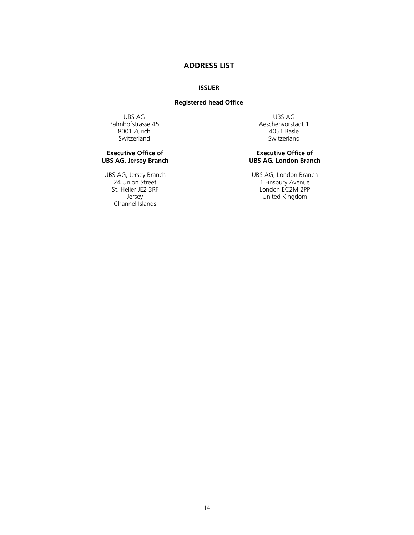# **ADDRESS LIST**

#### **ISSUER**

# **Registered head Office**

UBS AG UBS AG NEWS AG SAN UBS AG NEWS ASSESSES AS A LOCAL ATTENUAL ASSESSES AND THE US ASSESSES AND THE US OF THE US OF THE US OF THE US OF THE US OF THE US OF THE US OF THE US OF THE US OF THE US OF THE US OF THE US OF TH 8001 Zurich<br>Switzerland

### **Executive Office of UBS AG, Jersey Branch**

UBS AG, Jersey Branch UBS AG, London Branch Channel Islands

Aeschenvorstadt 1<br>4051 Basle Switzerland

# **Executive Office of UBS AG, London Branch**

24 Union Street 1 Finsbury Avenue St. Helier JE2 3RF London EC2M 2PP Jersey United Kingdom